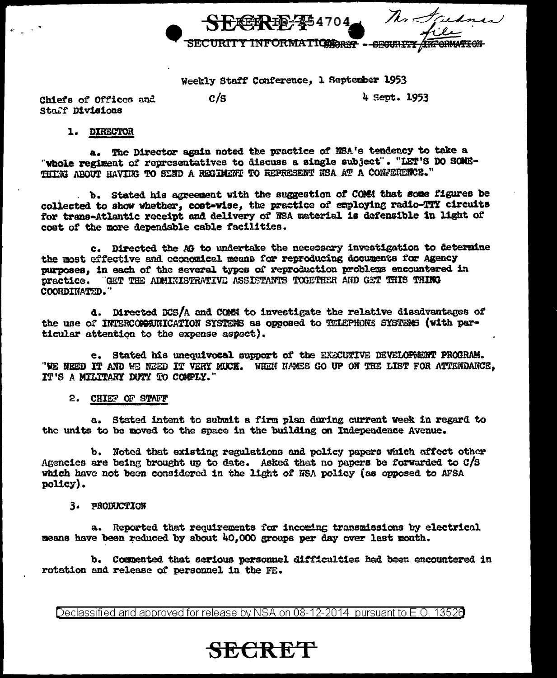SECRE-134704 Ma Juane

Weekly Staff Conference, 1 September 1953

Chiefs of Offices and Staff Divisions

 $c/s$ 

4 Sept. 1953

### 1. DIRECTOR

a. The Director again noted the practice of EEA's tendency to take a "whole regiment of representatives to discuss a single subject". "LET'S DO SOME-THING ABOUT HAVING TO SEND A REGIMENT TO REPRESENT NSA AT A CONFERENCE."

b. Stated his agreement with the suggestion of COMMI that some figures be collected to show whether, cost-wise, the practice of employing radio-TTY circuits for trans-Atlantic receipt and delivery of NSA material is defensible in light of cost of the more dependable cable facilities.

c. Directed the AG to undertake the necessary investigation to determine the most effective and coonomical means for reproducing documents for Agency purposes. in each of the several types of reproduction problems encountered in prectice. "GET THE ADMINISTRATIVE ASSISTANTS TOGETHER AND GET THIS THING COORDINATED."

d. Directed DCS/A and COMM to investigate the relative disadvantages of the use of INTERCOMMITICATION SYSTEMS as opposed to TELEPHONE SYSTEMS (with particular attention to the expense aspect).

e. Stated his unequivocal support of the EXECUTIVE DEVELOPMENT PROGRAM. "WE NEED IT AND WE NEED IT VERY MUCH. WHEN NAMES GO UP ON THE LIST FOR ATTENDANCE. IT'S A MILITARY DUTY TO COMPLY."

### 2. CHIEF OF STAFF

a. Stated intent to submit a firm plan during current week in regard to the units to be moved to the space in the building on Independence Avenue.

b. Noted that existing regulations and policy papers which affect other Agencies are being brought up to date. Asked that no papers be forwarded to  $C/S$ which have not been considered in the light of NSA policy (as opposed to AFSA policy).

#### 3. PRODUCTION

a. Reported that requirements for incoming transmissions by electrical means have been reduced by about 40.000 groups per day over last month.

b. Commented that serious personnel difficulties had been encountered in rotation and release of personnel in the FE.

Declassified and approved for release by NSA on 08-12-2014 pursuant to E.O. 13528

**SECRET**